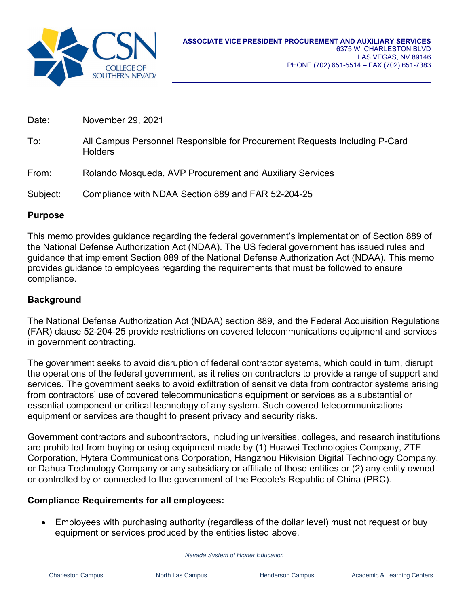

| Date:    | November 29, 2021                                                                            |
|----------|----------------------------------------------------------------------------------------------|
| To:      | All Campus Personnel Responsible for Procurement Requests Including P-Card<br><b>Holders</b> |
| From:    | Rolando Mosqueda, AVP Procurement and Auxiliary Services                                     |
| Subject: | Compliance with NDAA Section 889 and FAR 52-204-25                                           |

## **Purpose**

This memo provides guidance regarding the federal government's implementation of Section 889 of the National Defense Authorization Act (NDAA). The US federal government has issued rules and guidance that implement Section 889 of the National Defense Authorization Act (NDAA). This memo provides guidance to employees regarding the requirements that must be followed to ensure compliance.

## **Background**

The National Defense Authorization Act (NDAA) section 889, and the Federal Acquisition Regulations (FAR) clause 52-204-25 provide restrictions on covered telecommunications equipment and services in government contracting.

The government seeks to avoid disruption of federal contractor systems, which could in turn, disrupt the operations of the federal government, as it relies on contractors to provide a range of support and services. The government seeks to avoid exfiltration of sensitive data from contractor systems arising from contractors' use of covered telecommunications equipment or services as a substantial or essential component or critical technology of any system. Such covered telecommunications equipment or services are thought to present privacy and security risks.

Government contractors and subcontractors, including universities, colleges, and research institutions are prohibited from buying or using equipment made by (1) Huawei Technologies Company, ZTE Corporation, Hytera Communications Corporation, Hangzhou Hikvision Digital Technology Company, or Dahua Technology Company or any subsidiary or affiliate of those entities or (2) any entity owned or controlled by or connected to the government of the People's Republic of China (PRC).

## **Compliance Requirements for all employees:**

• Employees with purchasing authority (regardless of the dollar level) must not request or buy equipment or services produced by the entities listed above.

*Nevada System of Higher Education*